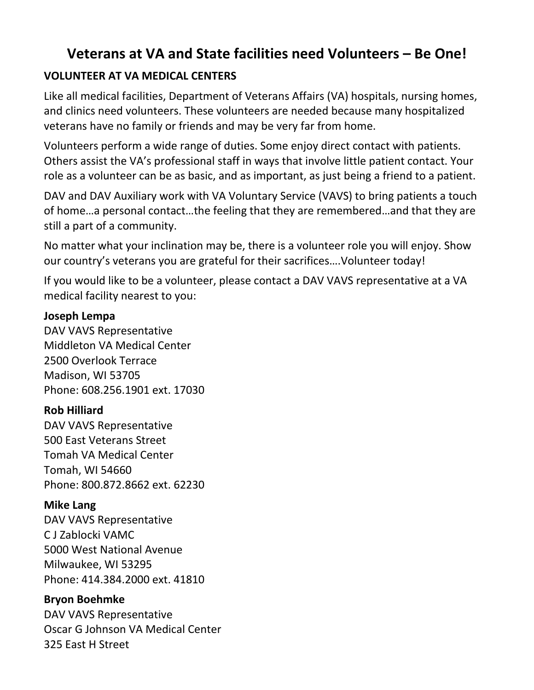# **Veterans at VA and State facilities need Volunteers – Be One!**

# **VOLUNTEER AT VA MEDICAL CENTERS**

Like all medical facilities, Department of Veterans Affairs (VA) hospitals, nursing homes, and clinics need volunteers. These volunteers are needed because many hospitalized veterans have no family or friends and may be very far from home.

Volunteers perform a wide range of duties. Some enjoy direct contact with patients. Others assist the VA's professional staff in ways that involve little patient contact. Your role as a volunteer can be as basic, and as important, as just being a friend to a patient.

DAV and DAV Auxiliary work with VA Voluntary Service (VAVS) to bring patients a touch of home…a personal contact…the feeling that they are remembered…and that they are still a part of a community.

No matter what your inclination may be, there is a volunteer role you will enjoy. Show our country's veterans you are grateful for their sacrifices….Volunteer today!

If you would like to be a volunteer, please contact a DAV VAVS representative at a VA medical facility nearest to you:

#### **Joseph Lempa**

DAV VAVS Representative Middleton VA Medical Center 2500 Overlook Terrace Madison, WI 53705 Phone: 608.256.1901 ext. 17030

# **Rob Hilliard**

DAV VAVS Representative 500 East Veterans Street Tomah VA Medical Center Tomah, WI 54660 Phone: 800.872.8662 ext. 62230

# **Mike Lang**

DAV VAVS Representative C J Zablocki VAMC 5000 West National Avenue Milwaukee, WI 53295 Phone: 414.384.2000 ext. 41810

# **Bryon Boehmke**

DAV VAVS Representative Oscar G Johnson VA Medical Center 325 East H Street